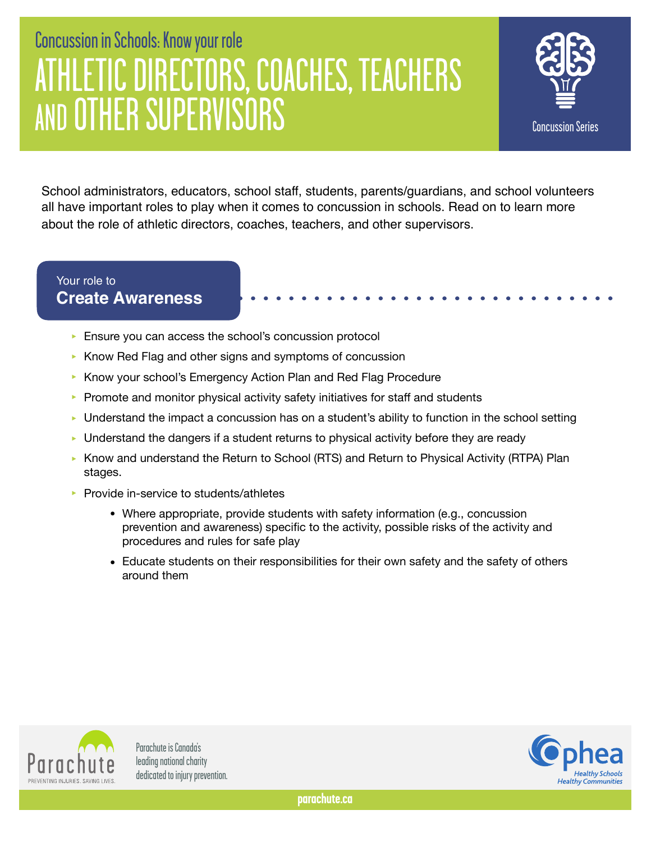# Concussion in Schools: Know your role ATHLETIC DIRECTORS, COACHES, TEACHERS AND OTHER SUPERVISORS



School administrators, educators, school staff, students, parents/guardians, and school volunteers all have important roles to play when it comes to concussion in schools. Read on to learn more about the role of athletic directors, coaches, teachers, and other supervisors.

### Your role to **Create Awareness**

- ► Ensure you can access the school's concussion protocol
- ‣ Know Red Flag and other signs and symptoms of concussion
- ‣ Know your school's Emergency Action Plan and Red Flag Procedure
- ▶ Promote and monitor physical activity safety initiatives for staff and students
- $\triangleright$  Understand the impact a concussion has on a student's ability to function in the school setting
- $\blacktriangleright$  Understand the dangers if a student returns to physical activity before they are ready
- ▶ Know and understand the Return to School (RTS) and Return to Physical Activity (RTPA) Plan stages.
- ▶ Provide in-service to students/athletes
	- Where appropriate, provide students with safety information (e.g., concussion prevention and awareness) specific to the activity, possible risks of the activity and procedures and rules for safe play
	- Educate students on their responsibilities for their own safety and the safety of others around them



Parachute is Canada's leading national charity dedicated to injury prevention.